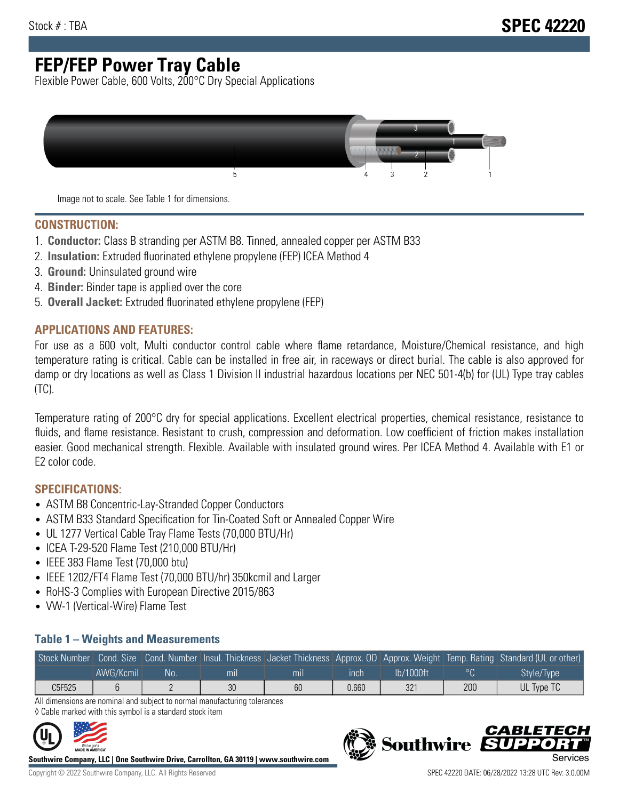# **FEP/FEP Power Tray Cable**

Flexible Power Cable, 600 Volts, 200°C Dry Special Applications



Image not to scale. See Table 1 for dimensions.

#### **CONSTRUCTION:**

- 1. **Conductor:** Class B stranding per ASTM B8. Tinned, annealed copper per ASTM B33
- 2. **Insulation:** Extruded fluorinated ethylene propylene (FEP) ICEA Method 4
- 3. **Ground:** Uninsulated ground wire
- 4. **Binder:** Binder tape is applied over the core
- 5. **Overall Jacket:** Extruded fluorinated ethylene propylene (FEP)

### **APPLICATIONS AND FEATURES:**

For use as a 600 volt, Multi conductor control cable where flame retardance, Moisture/Chemical resistance, and high temperature rating is critical. Cable can be installed in free air, in raceways or direct burial. The cable is also approved for damp or dry locations as well as Class 1 Division II industrial hazardous locations per NEC 501-4(b) for (UL) Type tray cables (TC).

Temperature rating of 200°C dry for special applications. Excellent electrical properties, chemical resistance, resistance to fluids, and flame resistance. Resistant to crush, compression and deformation. Low coefficient of friction makes installation easier. Good mechanical strength. Flexible. Available with insulated ground wires. Per ICEA Method 4. Available with E1 or E2 color code.

### **SPECIFICATIONS:**

- ASTM B8 Concentric-Lay-Stranded Copper Conductors
- ASTM B33 Standard Specification for Tin-Coated Soft or Annealed Copper Wire
- UL 1277 Vertical Cable Tray Flame Tests (70,000 BTU/Hr)
- ICEA T-29-520 Flame Test (210,000 BTU/Hr)
- IEEE 383 Flame Test (70,000 btu)
- IEEE 1202/FT4 Flame Test (70,000 BTU/hr) 350kcmil and Larger
- RoHS-3 Complies with European Directive 2015/863
- VW-1 (Vertical-Wire) Flame Test

#### **Table 1 – Weights and Measurements**

|        |           |     |     |     |       |           |     | Stock Number Cond. Size Cond. Number Insul. Thickness Jacket Thickness Approx. OD Approx. Weight Temp. Rating Standard (UL or other) |
|--------|-----------|-----|-----|-----|-------|-----------|-----|--------------------------------------------------------------------------------------------------------------------------------------|
|        | AWG/Kcmil | No. | mıl | mil | ınch  | lb/1000ft |     | Style/Type                                                                                                                           |
| C5F525 |           |     | 30  | 60  | 0.660 | 321       | 200 | UL Type TC                                                                                                                           |

All dimensions are nominal and subject to normal manufacturing tolerances ◊ Cable marked with this symbol is a standard stock item



**Southwire Company, LLC | One Southwire Drive, Carrollton, GA 30119 | www.southwire.com**